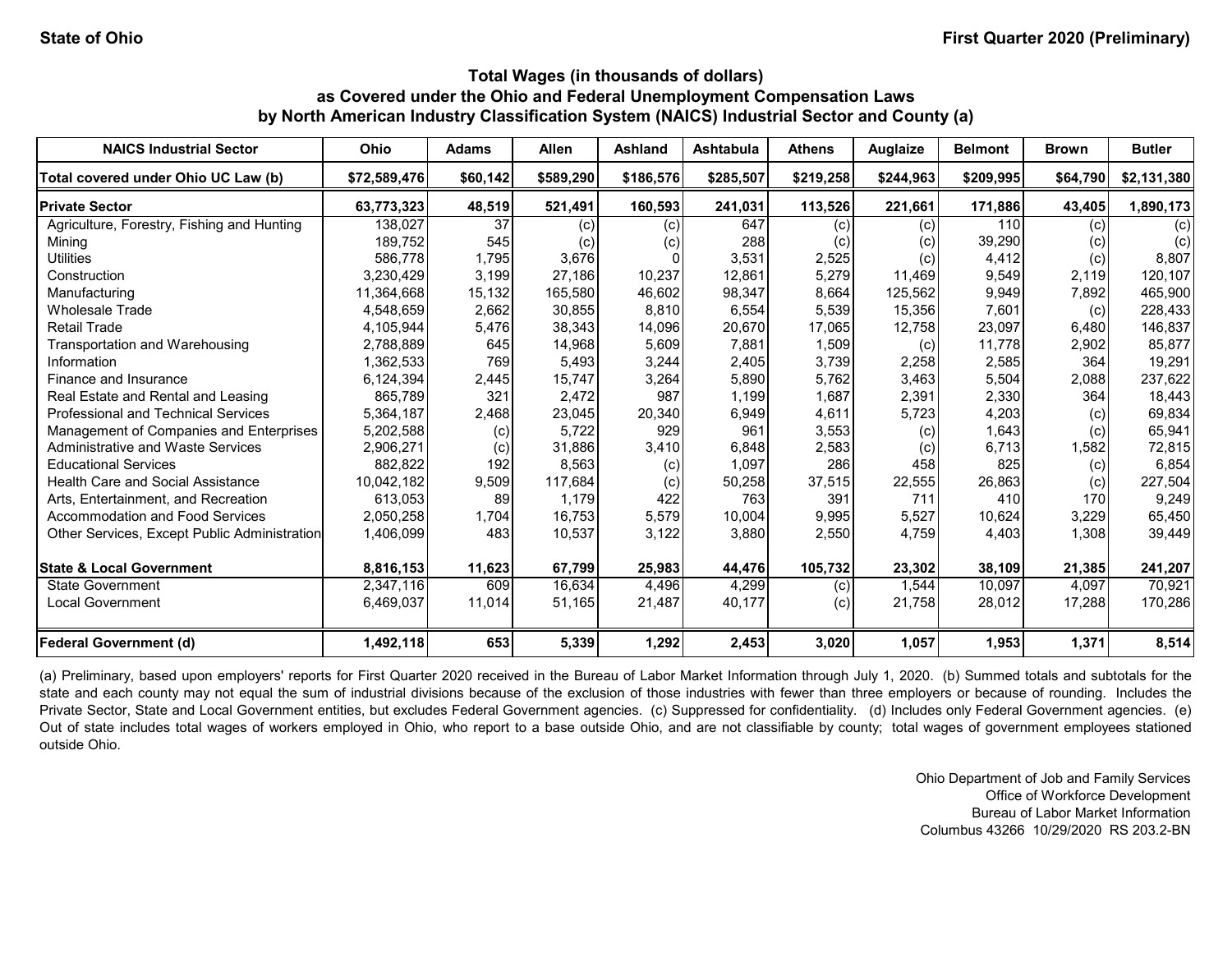| <b>NAICS Industrial Sector</b>               | Ohio         | <b>Adams</b> | <b>Allen</b> | <b>Ashland</b> | <b>Ashtabula</b> | <b>Athens</b> | <b>Auglaize</b> | <b>Belmont</b> | <b>Brown</b> | <b>Butler</b> |
|----------------------------------------------|--------------|--------------|--------------|----------------|------------------|---------------|-----------------|----------------|--------------|---------------|
| Total covered under Ohio UC Law (b)          | \$72,589,476 | \$60,142     | \$589,290    | \$186,576      | \$285,507        | \$219,258     | \$244,963       | \$209,995      | \$64,790     | \$2,131,380   |
| <b>Private Sector</b>                        | 63,773,323   | 48,519       | 521,491      | 160,593        | 241,031          | 113,526       | 221,661         | 171,886        | 43,405       | 1,890,173     |
| Agriculture, Forestry, Fishing and Hunting   | 138,027      | 37           | (c)          | (c)            | 647              | (c)           | (c)             | 110            | (c)          | (c)           |
| Mining                                       | 189,752      | 545          | (c)          | (c)            | 288              | (c)           | (c)             | 39,290         | (c)          | (c)           |
| <b>Utilities</b>                             | 586.778      | 1,795        | 3,676        |                | 3,531            | 2,525         | (c)             | 4,412          | (c)          | 8,807         |
| Construction                                 | 3,230,429    | 3,199        | 27,186       | 10,237         | 12,861           | 5,279         | 11,469          | 9,549          | 2,119        | 120,107       |
| Manufacturing                                | 11,364,668   | 15,132       | 165,580      | 46,602         | 98,347           | 8,664         | 125,562         | 9,949          | 7,892        | 465,900       |
| Wholesale Trade                              | 4,548,659    | 2,662        | 30,855       | 8,810          | 6,554            | 5,539         | 15,356          | 7,601          | (c)          | 228,433       |
| <b>Retail Trade</b>                          | 4,105,944    | 5,476        | 38,343       | 14,096         | 20,670           | 17,065        | 12,758          | 23,097         | 6,480        | 146,837       |
| Transportation and Warehousing               | 2,788,889    | 645          | 14,968       | 5,609          | 7.881            | 1.509         | (c)             | 11.778         | 2,902        | 85,877        |
| Information                                  | 1,362,533    | 769          | 5,493        | 3,244          | 2,405            | 3,739         | 2,258           | 2,585          | 364          | 19,291        |
| Finance and Insurance                        | 6,124,394    | 2,445        | 15,747       | 3,264          | 5,890            | 5,762         | 3,463           | 5,504          | 2,088        | 237,622       |
| Real Estate and Rental and Leasing           | 865,789      | 321          | 2,472        | 987            | 1,199            | 1,687         | 2,391           | 2,330          | 364          | 18,443        |
| <b>Professional and Technical Services</b>   | 5,364,187    | 2,468        | 23,045       | 20,340         | 6,949            | 4,611         | 5,723           | 4,203          | (c)          | 69,834        |
| Management of Companies and Enterprises      | 5,202,588    | (c)          | 5,722        | 929            | 961              | 3,553         | (c)             | 1,643          | (c)          | 65,941        |
| Administrative and Waste Services            | 2,906,271    | (c)          | 31,886       | 3,410          | 6,848            | 2,583         | (c)             | 6,713          | 1,582        | 72,815        |
| <b>Educational Services</b>                  | 882,822      | 192          | 8,563        | (c)            | 1,097            | 286           | 458             | 825            | (c)          | 6,854         |
| <b>Health Care and Social Assistance</b>     | 10,042,182   | 9,509        | 117,684      | (c)            | 50,258           | 37,515        | 22,555          | 26,863         | (c)          | 227,504       |
| Arts. Entertainment, and Recreation          | 613.053      | 89           | 1.179        | 422            | 763              | 391           | 711             | 410            | 170          | 9,249         |
| <b>Accommodation and Food Services</b>       | 2,050,258    | 1,704        | 16,753       | 5,579          | 10,004           | 9,995         | 5,527           | 10,624         | 3,229        | 65,450        |
| Other Services, Except Public Administration | 1,406,099    | 483          | 10,537       | 3,122          | 3,880            | 2,550         | 4,759           | 4,403          | 1,308        | 39,449        |
| <b>State &amp; Local Government</b>          | 8,816,153    | 11,623       | 67,799       | 25,983         | 44,476           | 105,732       | 23,302          | 38,109         | 21,385       | 241,207       |
| <b>State Government</b>                      | 2,347,116    | 609          | 16,634       | 4,496          | 4,299            | (c)           | 1.544           | 10,097         | 4,097        | 70,921        |
| <b>Local Government</b>                      | 6,469,037    | 11,014       | 51,165       | 21,487         | 40,177           | (c)           | 21,758          | 28,012         | 17,288       | 170,286       |
| <b>Federal Government (d)</b>                | 1,492,118    | 653          | 5,339        | 1,292          | 2,453            | 3,020         | 1,057           | 1,953          | 1,371        | 8,514         |

(a) Preliminary, based upon employers' reports for First Quarter 2020 received in the Bureau of Labor Market Information through July 1, 2020. (b) Summed totals and subtotals for the state and each county may not equal the sum of industrial divisions because of the exclusion of those industries with fewer than three employers or because of rounding. Includes the Private Sector, State and Local Government entities, but excludes Federal Government agencies. (c) Suppressed for confidentiality. (d) Includes only Federal Government agencies. (e) Out of state includes total wages of workers employed in Ohio, who report to a base outside Ohio, and are not classifiable by county; total wages of government employees stationed outside Ohio.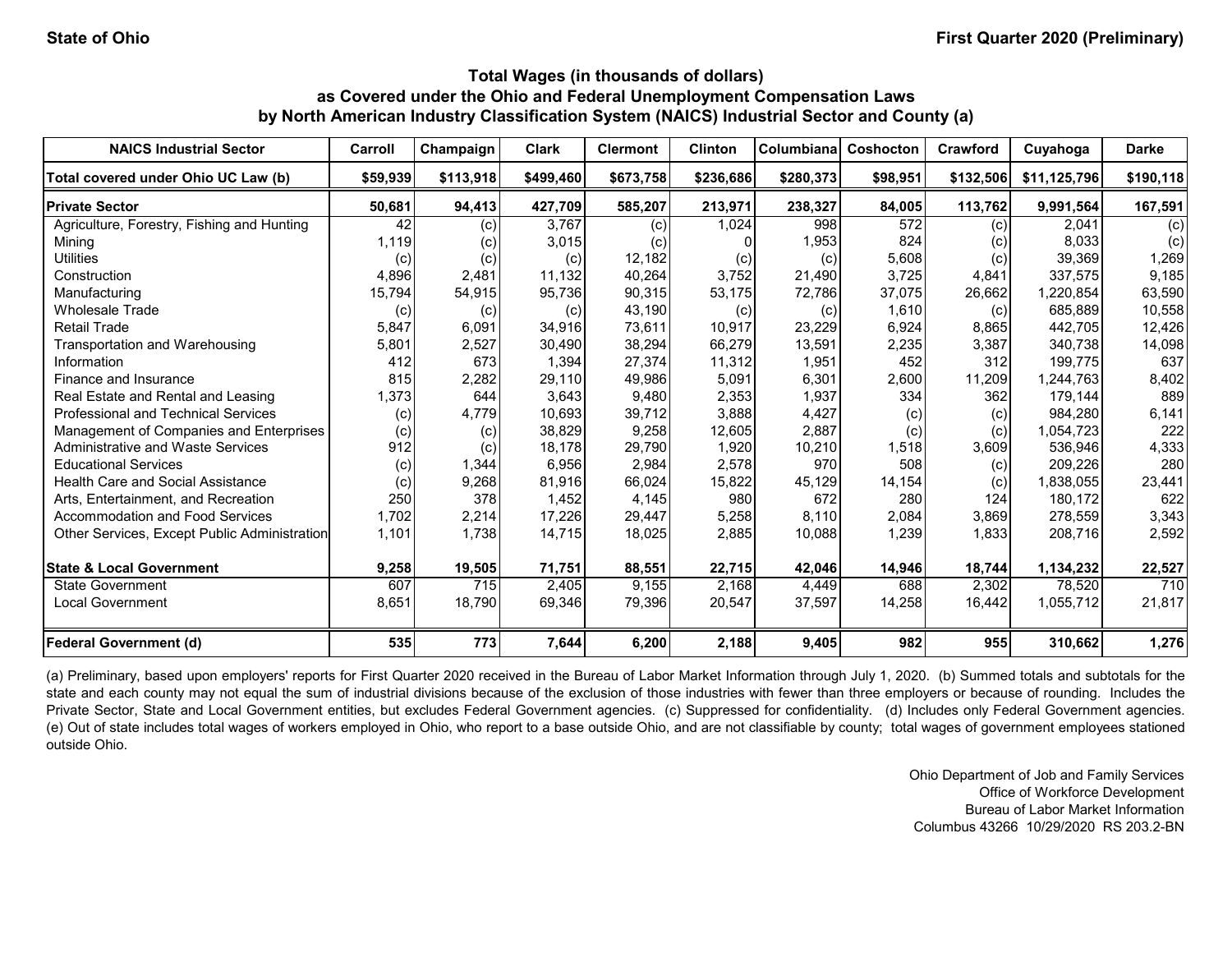| <b>NAICS Industrial Sector</b>               | Carroll  | Champaign | <b>Clark</b> | <b>Clermont</b> | Clinton   | Columbiana | Coshocton | Crawford  | Cuyahoga     | <b>Darke</b> |
|----------------------------------------------|----------|-----------|--------------|-----------------|-----------|------------|-----------|-----------|--------------|--------------|
| Total covered under Ohio UC Law (b)          | \$59,939 | \$113,918 | \$499,460    | \$673,758       | \$236,686 | \$280,373  | \$98,951  | \$132,506 | \$11,125,796 | \$190,118    |
| <b>Private Sector</b>                        | 50,681   | 94,413    | 427,709      | 585,207         | 213,971   | 238,327    | 84,005    | 113,762   | 9,991,564    | 167,591      |
| Agriculture, Forestry, Fishing and Hunting   | 42       | (c)       | 3,767        | (c)             | 1,024     | 998        | 572       | (c)       | 2,041        | (c)          |
| Mining                                       | 1,119    | (c)       | 3,015        | (c)             |           | 1,953      | 824       | (c)       | 8.033        | (c)          |
| <b>Utilities</b>                             | (c)      | (c)       | (c)          | 12,182          | (c)       | (c)        | 5,608     | (c)       | 39,369       | 1,269        |
| Construction                                 | 4,896    | 2,481     | 11,132       | 40,264          | 3,752     | 21,490     | 3,725     | 4,841     | 337,575      | 9,185        |
| Manufacturing                                | 15,794   | 54,915    | 95,736       | 90,315          | 53,175    | 72,786     | 37,075    | 26,662    | ,220,854     | 63,590       |
| <b>Wholesale Trade</b>                       | (c)      | (c)       | (c)          | 43,190          | (c)       | (c)        | 1,610     | (c)       | 685.889      | 10,558       |
| <b>Retail Trade</b>                          | 5,847    | 6,091     | 34.916       | 73,611          | 10,917    | 23,229     | 6,924     | 8,865     | 442.705      | 12,426       |
| Transportation and Warehousing               | 5,801    | 2,527     | 30,490       | 38,294          | 66,279    | 13,591     | 2,235     | 3,387     | 340.738      | 14,098       |
| Information                                  | 412      | 673       | 1,394        | 27,374          | 11,312    | 1,951      | 452       | 312       | 199.775      | 637          |
| Finance and Insurance                        | 815      | 2,282     | 29,110       | 49,986          | 5,091     | 6,301      | 2,600     | 11,209    | 1,244,763    | 8,402        |
| Real Estate and Rental and Leasing           | 1,373    | 644       | 3,643        | 9,480           | 2,353     | 1,937      | 334       | 362       | 179,144      | 889          |
| Professional and Technical Services          | (c)      | 4,779     | 10,693       | 39,712          | 3,888     | 4,427      | (c)       | (c)       | 984.280      | 6,141        |
| Management of Companies and Enterprises      | (c)      | (c)       | 38,829       | 9,258           | 12,605    | 2,887      | (c)       | (c)       | 1,054,723    | 222          |
| <b>Administrative and Waste Services</b>     | 912      | (c)       | 18,178       | 29,790          | 1,920     | 10,210     | 1,518     | 3,609     | 536,946      | 4,333        |
| <b>Educational Services</b>                  | (c)      | 1,344     | 6,956        | 2,984           | 2,578     | 970        | 508       | (c)       | 209,226      | 280          |
| <b>Health Care and Social Assistance</b>     | (c)      | 9,268     | 81,916       | 66,024          | 15,822    | 45,129     | 14,154    | (c)       | 1,838,055    | 23,441       |
| Arts. Entertainment, and Recreation          | 250      | 378       | 1,452        | 4,145           | 980       | 672        | 280       | 124       | 180,172      | 622          |
| Accommodation and Food Services              | 1,702    | 2,214     | 17,226       | 29,447          | 5,258     | 8,110      | 2,084     | 3,869     | 278,559      | 3,343        |
| Other Services, Except Public Administration | 1,101    | 1,738     | 14,715       | 18,025          | 2,885     | 10,088     | 1,239     | 1,833     | 208,716      | 2,592        |
| <b>State &amp; Local Government</b>          | 9,258    | 19,505    | 71,751       | 88,551          | 22,715    | 42,046     | 14,946    | 18,744    | 1,134,232    | 22,527       |
| <b>State Government</b>                      | 607      | 715       | 2,405        | 9.155           | 2,168     | 4,449      | 688       | 2,302     | 78.520       | 710          |
| <b>Local Government</b>                      | 8,651    | 18.790    | 69,346       | 79,396          | 20,547    | 37,597     | 14,258    | 16,442    | 1,055,712    | 21,817       |
| <b>Federal Government (d)</b>                | 535      | 773       | 7,644        | 6,200           | 2,188     | 9,405      | 982       | 955       | 310,662      | 1,276        |

(a) Preliminary, based upon employers' reports for First Quarter 2020 received in the Bureau of Labor Market Information through July 1, 2020. (b) Summed totals and subtotals for the state and each county may not equal the sum of industrial divisions because of the exclusion of those industries with fewer than three employers or because of rounding. Includes the Private Sector, State and Local Government entities, but excludes Federal Government agencies. (c) Suppressed for confidentiality. (d) Includes only Federal Government agencies. (e) Out of state includes total wages of workers employed in Ohio, who report to a base outside Ohio, and are not classifiable by county; total wages of government employees stationed outside Ohio.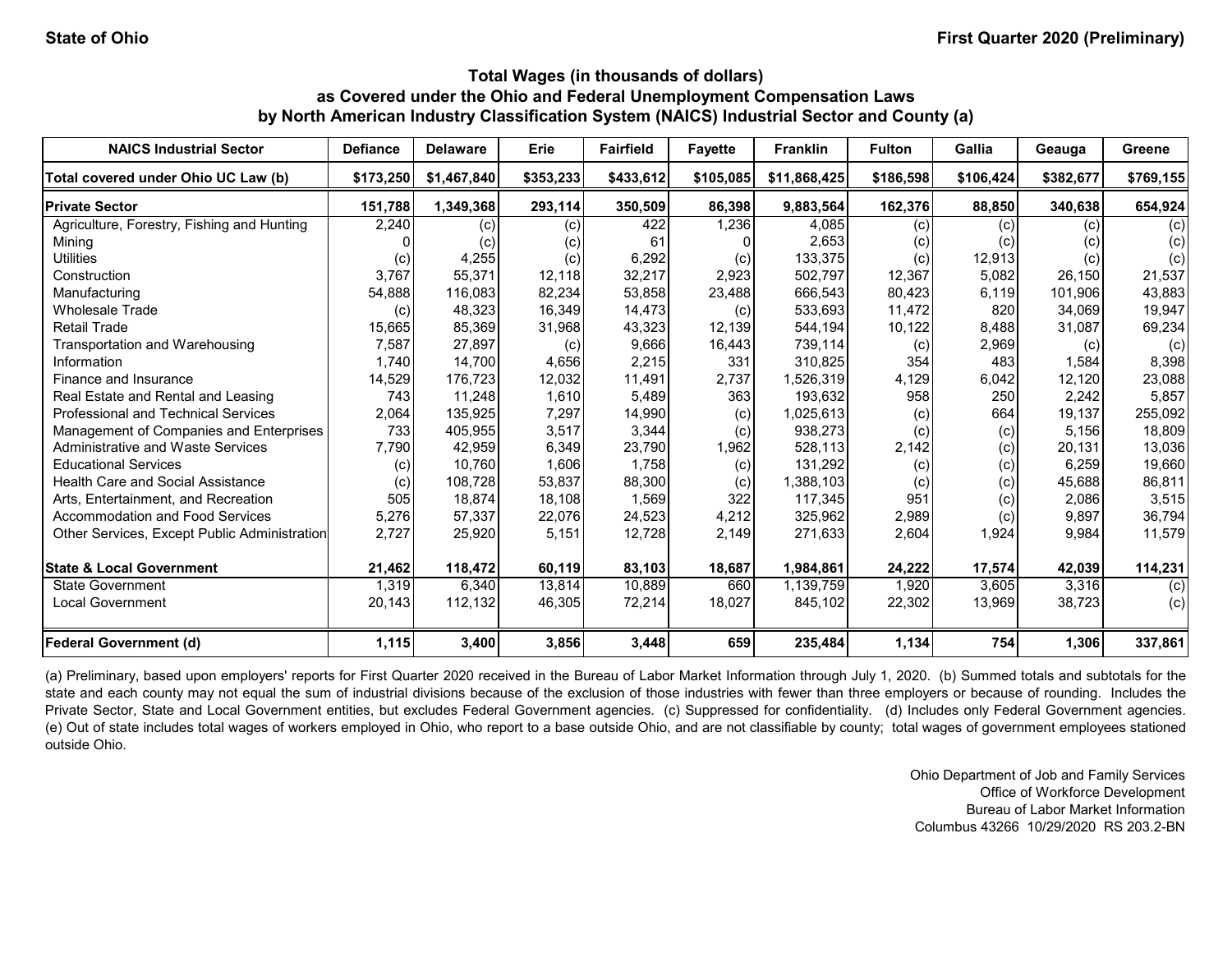| <b>NAICS Industrial Sector</b>               | <b>Defiance</b> | <b>Delaware</b> | Erie      | <b>Fairfield</b> | <b>Favette</b> | <b>Franklin</b> | <b>Fulton</b> | Gallia    | Geauga    | Greene    |
|----------------------------------------------|-----------------|-----------------|-----------|------------------|----------------|-----------------|---------------|-----------|-----------|-----------|
| Total covered under Ohio UC Law (b)          | \$173,250       | \$1,467,840     | \$353,233 | \$433,612        | \$105,085      | \$11,868,425    | \$186,598     | \$106,424 | \$382,677 | \$769,155 |
| <b>Private Sector</b>                        | 151,788         | 1,349,368       | 293,114   | 350,509          | 86,398         | 9,883,564       | 162,376       | 88,850    | 340,638   | 654,924   |
| Agriculture, Forestry, Fishing and Hunting   | 2,240           | (c)             | (c)       | 422              | 1,236          | 4,085           | (c)           | (c)       | (c)       | (c)       |
| Mining                                       |                 | (c)             | (c)       | 61               |                | 2,653           | (c)           | (c)       |           | (c)       |
| <b>Utilities</b>                             | (c)             | 4,255           | (c)       | 6,292            | (c)            | 133,375         | (c)           | 12,913    | (c)       | (c)       |
| Construction                                 | 3,767           | 55,371          | 12.118    | 32,217           | 2,923          | 502,797         | 12,367        | 5,082     | 26.150    | 21,537    |
| Manufacturing                                | 54,888          | 116,083         | 82,234    | 53,858           | 23,488         | 666,543         | 80,423        | 6,119     | 101.906   | 43,883    |
| <b>Wholesale Trade</b>                       | (c)             | 48,323          | 16,349    | 14,473           | (c)            | 533,693         | 11,472        | 820       | 34,069    | 19,947    |
| <b>Retail Trade</b>                          | 15,665          | 85,369          | 31,968    | 43,323           | 12,139         | 544,194         | 10,122        | 8,488     | 31,087    | 69,234    |
| Transportation and Warehousing               | 7,587           | 27,897          | (c)       | 9,666            | 16,443         | 739,114         | (c)           | 2,969     | (c)       | (c)       |
| Information                                  | 1,740           | 14.700          | 4,656     | 2,215            | 331            | 310,825         | 354           | 483       | 1,584     | 8,398     |
| Finance and Insurance                        | 14,529          | 176,723         | 12,032    | 11,491           | 2,737          | 1,526,319       | 4,129         | 6,042     | 12,120    | 23,088    |
| Real Estate and Rental and Leasing           | 743             | 11,248          | 1,610     | 5,489            | 363            | 193,632         | 958           | 250       | 2,242     | 5,857     |
| Professional and Technical Services          | 2,064           | 135,925         | 7,297     | 14,990           | (c)            | 1,025,613       | (c)           | 664       | 19,137    | 255,092   |
| Management of Companies and Enterprises      | 733             | 405,955         | 3,517     | 3,344            | (c)            | 938,273         | (c)           | (c)       | 5,156     | 18,809    |
| Administrative and Waste Services            | 7,790           | 42,959          | 6,349     | 23,790           | 1,962          | 528,113         | 2,142         | (c)       | 20,131    | 13,036    |
| <b>Educational Services</b>                  | (c)             | 10,760          | 1,606     | 1,758            | (c)            | 131,292         | (c)           | (c)       | 6,259     | 19,660    |
| <b>Health Care and Social Assistance</b>     | (c)             | 108,728         | 53,837    | 88,300           | (c)            | 1,388,103       | (c)           | (c)       | 45,688    | 86,811    |
| Arts, Entertainment, and Recreation          | 505             | 18,874          | 18,108    | 1,569            | 322            | 117,345         | 951           | (c)       | 2,086     | 3,515     |
| <b>Accommodation and Food Services</b>       | 5,276           | 57,337          | 22,076    | 24,523           | 4,212          | 325,962         | 2,989         | (c)       | 9,897     | 36,794    |
| Other Services, Except Public Administration | 2,727           | 25,920          | 5,151     | 12,728           | 2,149          | 271,633         | 2,604         | 1,924     | 9,984     | 11,579    |
| <b>State &amp; Local Government</b>          | 21,462          | 118,472         | 60,119    | 83,103           | 18,687         | 1,984,861       | 24,222        | 17,574    | 42,039    | 114,231   |
| <b>State Government</b>                      | 1,319           | 6,340           | 13.814    | 10,889           | 660            | 1,139,759       | 1.920         | 3,605     | 3,316     | (c)       |
| <b>Local Government</b>                      | 20,143          | 112,132         | 46,305    | 72,214           | 18,027         | 845,102         | 22,302        | 13,969    | 38,723    | (c)       |
| <b>Federal Government (d)</b>                | 1,115           | 3,400           | 3,856     | 3,448            | 659            | 235,484         | 1,134         | 754       | 1,306     | 337,861   |

(a) Preliminary, based upon employers' reports for First Quarter 2020 received in the Bureau of Labor Market Information through July 1, 2020. (b) Summed totals and subtotals for the state and each county may not equal the sum of industrial divisions because of the exclusion of those industries with fewer than three employers or because of rounding. Includes the Private Sector, State and Local Government entities, but excludes Federal Government agencies. (c) Suppressed for confidentiality. (d) Includes only Federal Government agencies. (e) Out of state includes total wages of workers employed in Ohio, who report to a base outside Ohio, and are not classifiable by county; total wages of government employees stationed outside Ohio.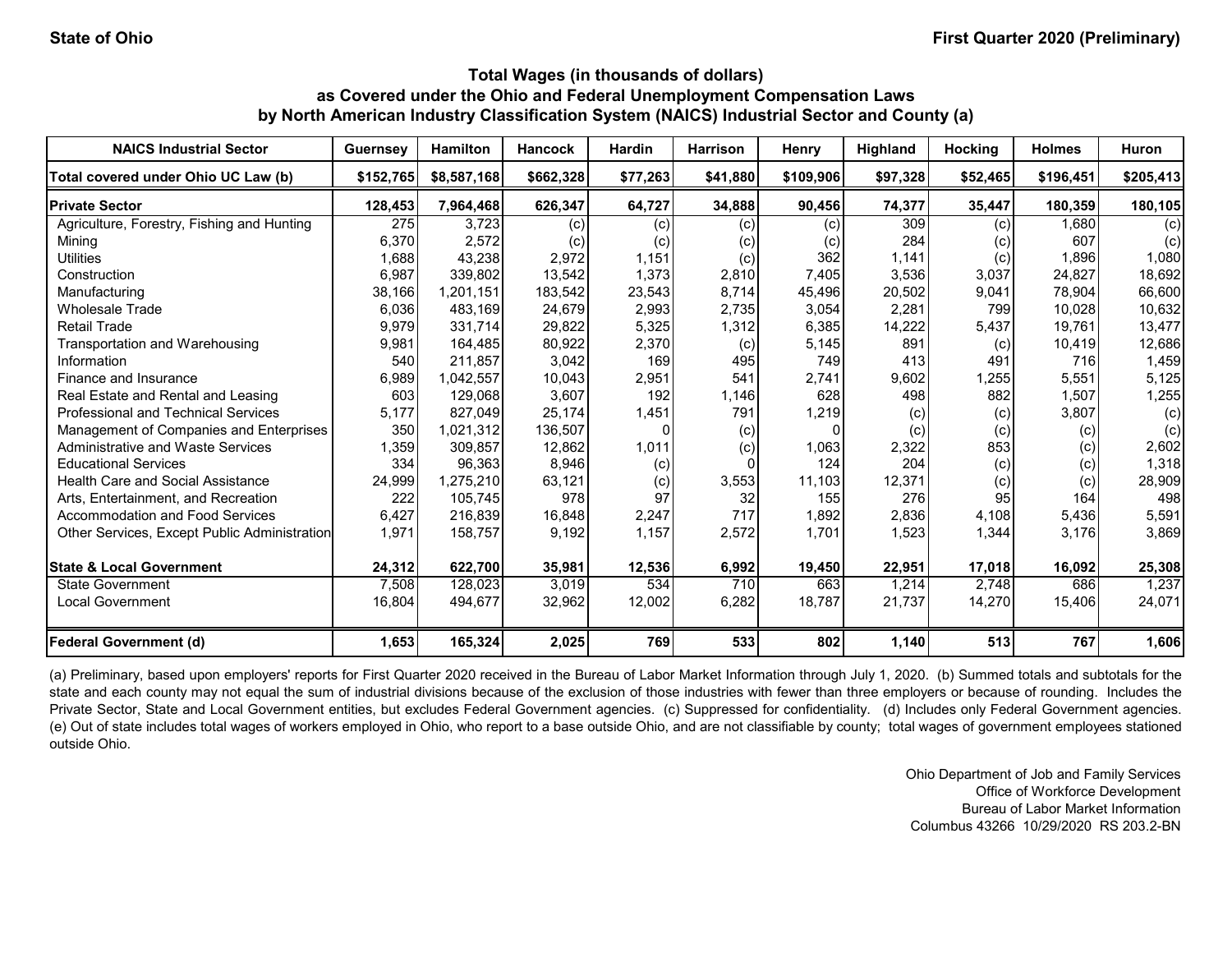| <b>NAICS Industrial Sector</b>               | Guernsey  | <b>Hamilton</b> | <b>Hancock</b> | <b>Hardin</b> | <b>Harrison</b> | Henry     | <b>Highland</b> | <b>Hocking</b> | <b>Holmes</b> | Huron     |
|----------------------------------------------|-----------|-----------------|----------------|---------------|-----------------|-----------|-----------------|----------------|---------------|-----------|
| Total covered under Ohio UC Law (b)          | \$152,765 | \$8,587,168     | \$662,328      | \$77,263      | \$41,880        | \$109,906 | \$97,328        | \$52,465       | \$196,451     | \$205,413 |
| <b>Private Sector</b>                        | 128,453   | 7,964,468       | 626,347        | 64,727        | 34,888          | 90,456    | 74,377          | 35,447         | 180,359       | 180,105   |
| Agriculture, Forestry, Fishing and Hunting   | 275       | 3,723           | (c)            | (c)           | (c)             | (c)       | 309             | (c)            | 1,680         | (c)       |
| Mining                                       | 6,370     | 2,572           | (c)            | (c)           | (c)             | (c)       | 284             | (c)            | 607           | (c)       |
| <b>Utilities</b>                             | 1,688     | 43,238          | 2,972          | 1,151         | (c)             | 362       | 1,141           | (c)            | 1,896         | 1,080     |
| Construction                                 | 6,987     | 339,802         | 13,542         | 1,373         | 2,810           | 7,405     | 3,536           | 3,037          | 24,827        | 18,692    |
| Manufacturing                                | 38,166    | 1,201,151       | 183,542        | 23,543        | 8,714           | 45,496    | 20,502          | 9,041          | 78.904        | 66,600    |
| <b>Wholesale Trade</b>                       | 6,036     | 483.169         | 24,679         | 2,993         | 2,735           | 3,054     | 2,281           | 799            | 10.028        | 10,632    |
| <b>Retail Trade</b>                          | 9,979     | 331,714         | 29,822         | 5,325         | 1,312           | 6,385     | 14,222          | 5,437          | 19,761        | 13,477    |
| Transportation and Warehousing               | 9,981     | 164,485         | 80,922         | 2,370         | (c)             | 5,145     | 891             | (c)            | 10,419        | 12,686    |
| Information                                  | 540       | 211,857         | 3,042          | 169           | 495             | 749       | 413             | 491            | 716           | 1,459     |
| Finance and Insurance                        | 6,989     | 1,042,557       | 10,043         | 2,951         | 541             | 2,741     | 9,602           | 1,255          | 5,551         | 5,125     |
| Real Estate and Rental and Leasing           | 603       | 129,068         | 3,607          | 192           | 1,146           | 628       | 498             | 882            | 1,507         | 1,255     |
| <b>Professional and Technical Services</b>   | 5,177     | 827.049         | 25,174         | 1,451         | 791             | 1,219     | (c)             | (c)            | 3,807         | (c)       |
| Management of Companies and Enterprises      | 350       | 1,021,312       | 136,507        |               | (c)             |           | (c)             | (c)            | (c)           | (c)       |
| <b>Administrative and Waste Services</b>     | 1,359     | 309,857         | 12,862         | 1,011         | (c)             | 1,063     | 2,322           | 853            | (c)           | 2,602     |
| <b>Educational Services</b>                  | 334       | 96,363          | 8,946          | (c)           |                 | 124       | 204             | (c)            | (c)           | 1,318     |
| <b>Health Care and Social Assistance</b>     | 24,999    | 1,275,210       | 63,121         | (c)           | 3,553           | 11,103    | 12,371          | (c)            | (c)           | 28,909    |
| Arts, Entertainment, and Recreation          | 222       | 105.745         | 978            | 97            | 32              | 155       | 276             | 95             | 164           | 498       |
| <b>Accommodation and Food Services</b>       | 6,427     | 216,839         | 16,848         | 2,247         | 717             | 1,892     | 2,836           | 4,108          | 5,436         | 5,591     |
| Other Services, Except Public Administration | 1,971     | 158,757         | 9,192          | 1,157         | 2,572           | 1.701     | 1,523           | 1,344          | 3,176         | 3,869     |
| <b>State &amp; Local Government</b>          | 24,312    | 622,700         | 35,981         | 12,536        | 6,992           | 19,450    | 22,951          | 17,018         | 16,092        | 25,308    |
| <b>State Government</b>                      | 7,508     | 128,023         | 3,019          | 534           | 710             | 663       | 1,214           | 2,748          | 686           | 1,237     |
| <b>Local Government</b>                      | 16,804    | 494,677         | 32,962         | 12,002        | 6,282           | 18,787    | 21,737          | 14,270         | 15,406        | 24,071    |
| <b>Federal Government (d)</b>                | 1,653     | 165,324         | 2,025          | 769           | 533             | 802       | 1,140           | 513            | 767           | 1,606     |

(a) Preliminary, based upon employers' reports for First Quarter 2020 received in the Bureau of Labor Market Information through July 1, 2020. (b) Summed totals and subtotals for the state and each county may not equal the sum of industrial divisions because of the exclusion of those industries with fewer than three employers or because of rounding. Includes the Private Sector, State and Local Government entities, but excludes Federal Government agencies. (c) Suppressed for confidentiality. (d) Includes only Federal Government agencies. (e) Out of state includes total wages of workers employed in Ohio, who report to a base outside Ohio, and are not classifiable by county; total wages of government employees stationed outside Ohio.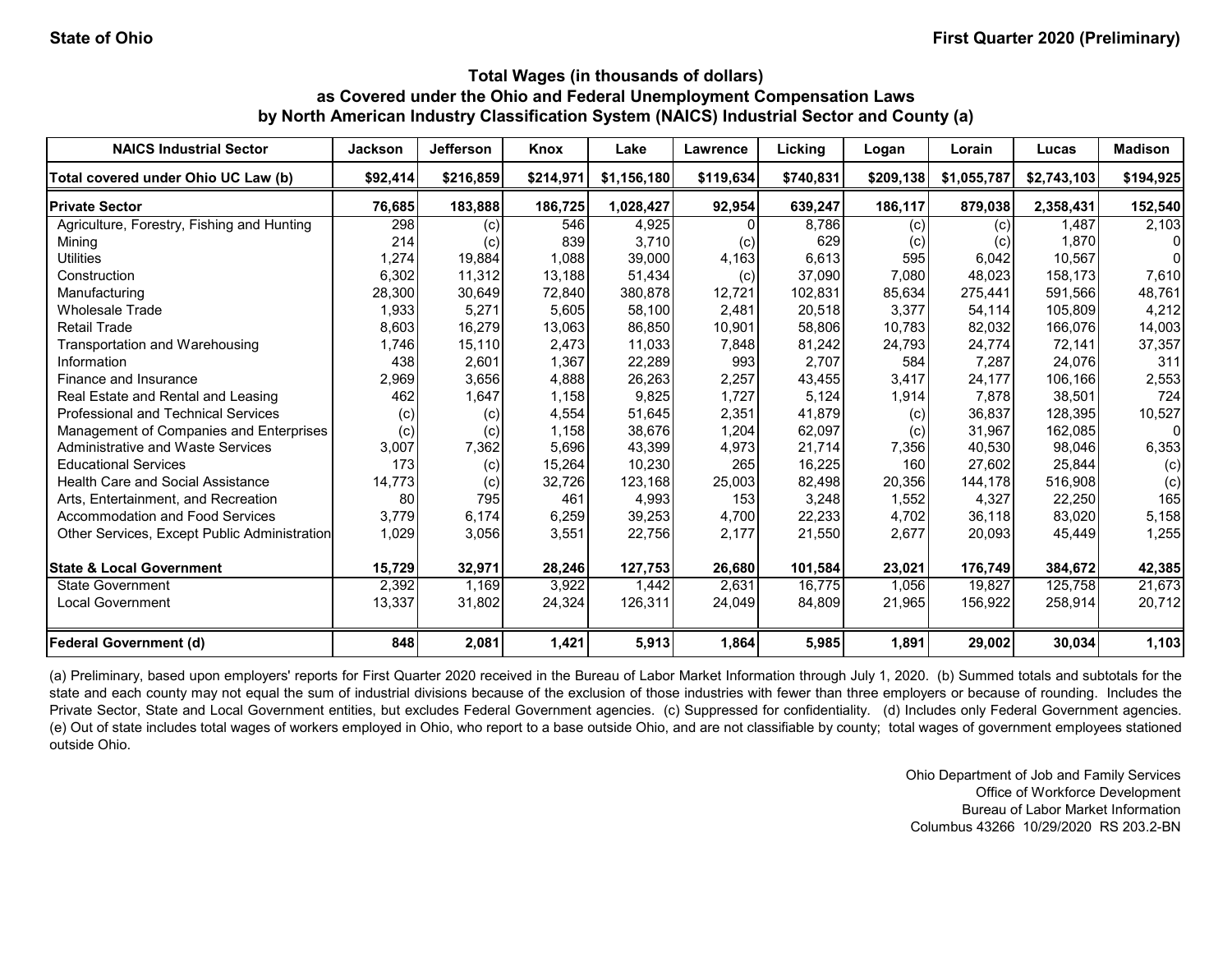| <b>NAICS Industrial Sector</b>               | <b>Jackson</b> | <b>Jefferson</b> | Knox      | Lake        | <b>Lawrence</b> | Licking   | Logan     | Lorain      | Lucas       | <b>Madison</b> |
|----------------------------------------------|----------------|------------------|-----------|-------------|-----------------|-----------|-----------|-------------|-------------|----------------|
| Total covered under Ohio UC Law (b)          | \$92,414       | \$216.859        | \$214,971 | \$1,156,180 | \$119,634       | \$740,831 | \$209.138 | \$1,055,787 | \$2,743,103 | \$194,925      |
| <b>Private Sector</b>                        | 76,685         | 183,888          | 186,725   | 1,028,427   | 92,954          | 639,247   | 186,117   | 879,038     | 2,358,431   | 152,540        |
| Agriculture, Forestry, Fishing and Hunting   | 298            | (c)              | 546       | 4.925       |                 | 8,786     | (c)       | (c)         | 1.487       | 2,103          |
| Mining                                       | 214            | (c)              | 839       | 3,710       | (c)             | 629       | (c)       | (c)         | 1,870       | 0              |
| <b>Utilities</b>                             | 1,274          | 19,884           | 1,088     | 39.000      | 4,163           | 6,613     | 595       | 6,042       | 10.567      | $\Omega$       |
| Construction                                 | 6,302          | 11,312           | 13,188    | 51,434      | (c)             | 37,090    | 7,080     | 48,023      | 158,173     | 7,610          |
| Manufacturing                                | 28,300         | 30,649           | 72,840    | 380,878     | 12,721          | 102,831   | 85,634    | 275,441     | 591,566     | 48,761         |
| <b>Wholesale Trade</b>                       | 1,933          | 5,271            | 5,605     | 58,100      | 2,481           | 20,518    | 3,377     | 54,114      | 105,809     | 4,212          |
| <b>Retail Trade</b>                          | 8,603          | 16,279           | 13,063    | 86,850      | 10,901          | 58,806    | 10,783    | 82,032      | 166,076     | 14,003         |
| Transportation and Warehousing               | 1,746          | 15,110           | 2,473     | 11,033      | 7,848           | 81,242    | 24,793    | 24,774      | 72,141      | 37,357         |
| Information                                  | 438            | 2,601            | 1,367     | 22,289      | 993             | 2,707     | 584       | 7,287       | 24,076      | 311            |
| Finance and Insurance                        | 2,969          | 3,656            | 4,888     | 26,263      | 2,257           | 43,455    | 3,417     | 24,177      | 106,166     | 2,553          |
| Real Estate and Rental and Leasing           | 462            | 1,647            | 1,158     | 9,825       | 1,727           | 5,124     | 1,914     | 7.878       | 38,501      | 724            |
| <b>Professional and Technical Services</b>   | (c)            | (c)              | 4,554     | 51,645      | 2,351           | 41,879    | (c)       | 36.837      | 128,395     | 10,527         |
| Management of Companies and Enterprises      | (c)            | (c)              | 1,158     | 38,676      | 1,204           | 62,097    | (c)       | 31.967      | 162,085     | 0              |
| Administrative and Waste Services            | 3,007          | 7,362            | 5,696     | 43,399      | 4,973           | 21,714    | 7,356     | 40,530      | 98,046      | 6,353          |
| <b>Educational Services</b>                  | 173            | (c)              | 15,264    | 10,230      | 265             | 16,225    | 160       | 27,602      | 25,844      | (c)            |
| <b>Health Care and Social Assistance</b>     | 14,773         | (c)              | 32,726    | 123,168     | 25,003          | 82,498    | 20,356    | 144,178     | 516,908     | (c)            |
| Arts, Entertainment, and Recreation          | 80             | 795              | 461       | 4,993       | 153             | 3,248     | 1,552     | 4,327       | 22,250      | 165            |
| <b>Accommodation and Food Services</b>       | 3,779          | 6,174            | 6,259     | 39,253      | 4,700           | 22,233    | 4,702     | 36,118      | 83,020      | 5,158          |
| Other Services, Except Public Administration | 1,029          | 3,056            | 3,551     | 22,756      | 2,177           | 21,550    | 2,677     | 20,093      | 45,449      | 1,255          |
| <b>State &amp; Local Government</b>          | 15,729         | 32,971           | 28,246    | 127,753     | 26,680          | 101,584   | 23,021    | 176,749     | 384,672     | 42,385         |
| State Government                             | 2,392          | 1.169            | 3,922     | 1.442       | 2,631           | 16,775    | 1.056     | 19.827      | 125,758     | 21,673         |
| Local Government                             | 13,337         | 31,802           | 24,324    | 126,311     | 24,049          | 84,809    | 21,965    | 156,922     | 258,914     | 20,712         |
| <b>Federal Government (d)</b>                | 848            | 2,081            | 1,421     | 5,913       | 1,864           | 5,985     | 1,891     | 29,002      | 30,034      | 1,103          |

(a) Preliminary, based upon employers' reports for First Quarter 2020 received in the Bureau of Labor Market Information through July 1, 2020. (b) Summed totals and subtotals for the state and each county may not equal the sum of industrial divisions because of the exclusion of those industries with fewer than three employers or because of rounding. Includes the Private Sector, State and Local Government entities, but excludes Federal Government agencies. (c) Suppressed for confidentiality. (d) Includes only Federal Government agencies. (e) Out of state includes total wages of workers employed in Ohio, who report to a base outside Ohio, and are not classifiable by county; total wages of government employees stationed outside Ohio.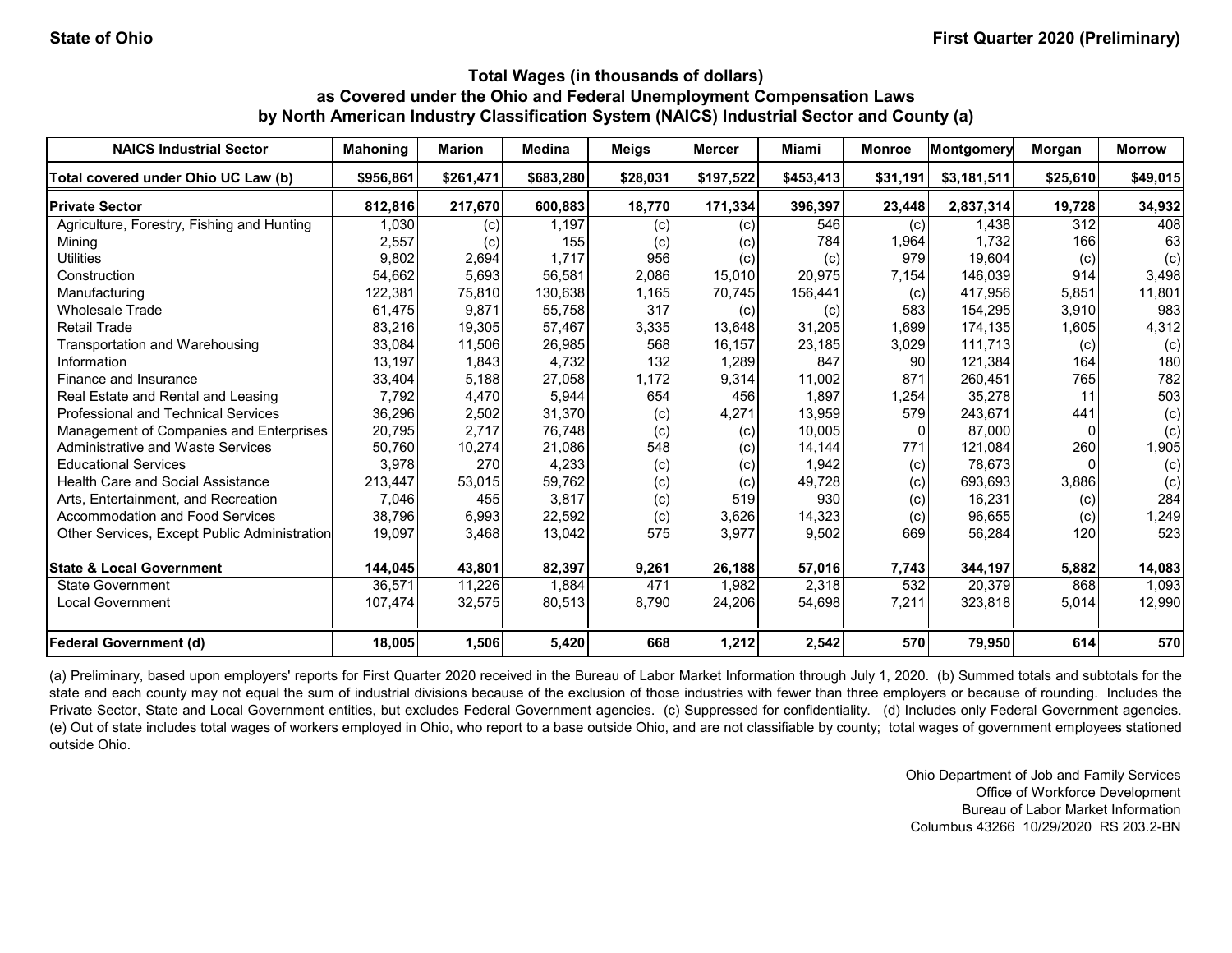| <b>NAICS Industrial Sector</b>               | <b>Mahoning</b> | <b>Marion</b> | <b>Medina</b> | <b>Meigs</b> | <b>Mercer</b> | Miami     | <b>Monroe</b> | Montgomery  | Morgan   | <b>Morrow</b> |
|----------------------------------------------|-----------------|---------------|---------------|--------------|---------------|-----------|---------------|-------------|----------|---------------|
| Total covered under Ohio UC Law (b)          | \$956,861       | \$261,471     | \$683,280     | \$28,031     | \$197,522     | \$453,413 | \$31,191      | \$3,181,511 | \$25,610 | \$49,015      |
| <b>Private Sector</b>                        | 812,816         | 217,670       | 600,883       | 18,770       | 171,334       | 396,397   | 23,448        | 2,837,314   | 19,728   | 34,932        |
| Agriculture, Forestry, Fishing and Hunting   | 1,030           | (c)           | 1,197         | (c)          | (c)           | 546       | (c)           | 1,438       | 312      | 408           |
| Mining                                       | 2,557           | (c)           | 155           | (c)          | (c)           | 784       | 1,964         | 1,732       | 166      | 63            |
| <b>Utilities</b>                             | 9,802           | 2,694         | 1,717         | 956          | (c)           | (c)       | 979           | 19,604      | (c)      | (c)           |
| Construction                                 | 54,662          | 5,693         | 56,581        | 2,086        | 15,010        | 20,975    | 7,154         | 146,039     | 914      | 3,498         |
| Manufacturing                                | 122,381         | 75,810        | 130,638       | 1,165        | 70,745        | 156,441   | (c)           | 417,956     | 5,851    | 11,801        |
| <b>Wholesale Trade</b>                       | 61,475          | 9,871         | 55,758        | 317          | (c)           | (c)       | 583           | 154,295     | 3,910    | 983           |
| <b>Retail Trade</b>                          | 83,216          | 19,305        | 57,467        | 3,335        | 13,648        | 31,205    | 1,699         | 174,135     | 1,605    | 4,312         |
| Transportation and Warehousing               | 33,084          | 11,506        | 26,985        | 568          | 16,157        | 23,185    | 3,029         | 111.713     | (c)      | (c)           |
| Information                                  | 13,197          | 1,843         | 4,732         | 132          | 1,289         | 847       | 90            | 121,384     | 164      | 180           |
| Finance and Insurance                        | 33,404          | 5,188         | 27,058        | 1,172        | 9,314         | 11,002    | 871           | 260,451     | 765      | 782           |
| Real Estate and Rental and Leasing           | 7,792           | 4,470         | 5,944         | 654          | 456           | 1,897     | 1,254         | 35,278      | 11       | 503           |
| <b>Professional and Technical Services</b>   | 36,296          | 2,502         | 31,370        | (c)          | 4,271         | 13,959    | 579           | 243,671     | 441      | (c)           |
| Management of Companies and Enterprises      | 20,795          | 2,717         | 76,748        | (c)          | (c)           | 10,005    |               | 87,000      | $\Omega$ | (c)           |
| <b>Administrative and Waste Services</b>     | 50,760          | 10,274        | 21,086        | 548          | (c)           | 14,144    | 771           | 121,084     | 260      | 1,905         |
| <b>Educational Services</b>                  | 3,978           | 270           | 4,233         | (c)          | (c)           | 1,942     | (c)           | 78,673      | $\Omega$ | (c)           |
| Health Care and Social Assistance            | 213,447         | 53,015        | 59,762        | (c)          | (c)           | 49,728    | (c)           | 693,693     | 3,886    | (c)           |
| Arts, Entertainment, and Recreation          | 7,046           | 455           | 3,817         | (c)          | 519           | 930       | (c)           | 16,231      | (c)      | 284           |
| Accommodation and Food Services              | 38,796          | 6,993         | 22,592        | (c)          | 3,626         | 14,323    | (c)           | 96,655      | (c)      | 1,249         |
| Other Services, Except Public Administration | 19,097          | 3,468         | 13,042        | 575          | 3,977         | 9,502     | 669           | 56,284      | 120      | 523           |
| <b>State &amp; Local Government</b>          | 144,045         | 43,801        | 82,397        | 9,261        | 26,188        | 57,016    | 7,743         | 344,197     | 5,882    | 14,083        |
| <b>State Government</b>                      | 36,571          | 11,226        | 1,884         | 471          | 1,982         | 2,318     | 532           | 20,379      | 868      | 1,093         |
| <b>Local Government</b>                      | 107,474         | 32,575        | 80,513        | 8,790        | 24,206        | 54,698    | 7,211         | 323,818     | 5,014    | 12,990        |
| <b>Federal Government (d)</b>                | 18,005          | 1,506         | 5,420         | 668          | 1,212         | 2,542     | 570           | 79,950      | 614      | 570           |

(a) Preliminary, based upon employers' reports for First Quarter 2020 received in the Bureau of Labor Market Information through July 1, 2020. (b) Summed totals and subtotals for the state and each county may not equal the sum of industrial divisions because of the exclusion of those industries with fewer than three employers or because of rounding. Includes the Private Sector, State and Local Government entities, but excludes Federal Government agencies. (c) Suppressed for confidentiality. (d) Includes only Federal Government agencies. (e) Out of state includes total wages of workers employed in Ohio, who report to a base outside Ohio, and are not classifiable by county; total wages of government employees stationed outside Ohio.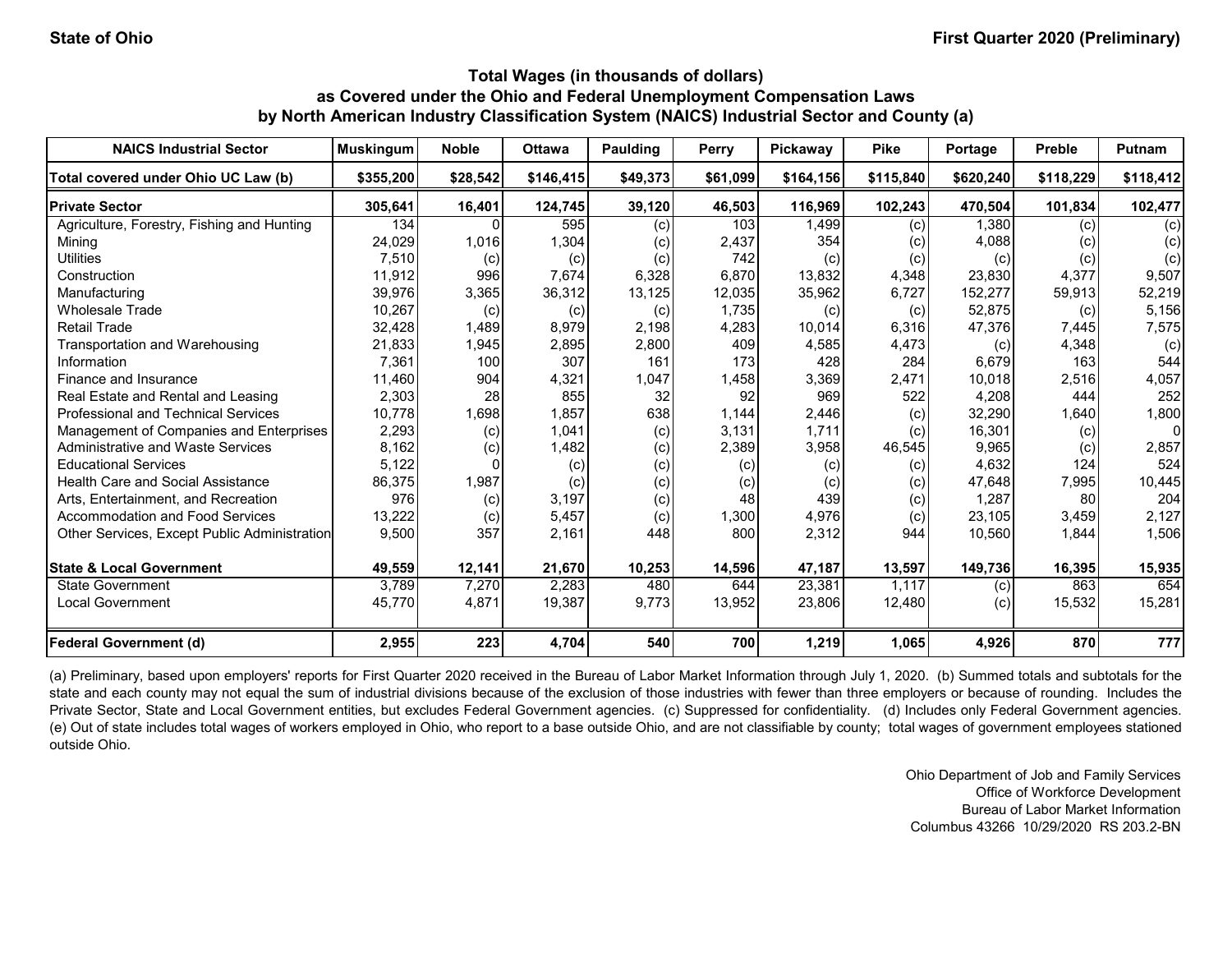| <b>NAICS Industrial Sector</b>               | <b>Muskingum</b> | <b>Noble</b> | <b>Ottawa</b> | Paulding | Perry    | Pickaway  | <b>Pike</b> | Portage   | <b>Preble</b> | Putnam    |
|----------------------------------------------|------------------|--------------|---------------|----------|----------|-----------|-------------|-----------|---------------|-----------|
| Total covered under Ohio UC Law (b)          | \$355,200        | \$28,542     | \$146,415     | \$49,373 | \$61,099 | \$164.156 | \$115,840   | \$620.240 | \$118,229     | \$118,412 |
| <b>Private Sector</b>                        | 305,641          | 16,401       | 124,745       | 39,120   | 46,503   | 116,969   | 102,243     | 470,504   | 101,834       | 102,477   |
| Agriculture, Forestry, Fishing and Hunting   | 134              |              | 595           | (c)      | 103      | 1,499     | (c)         | 1.380     | (c)           | (c)       |
| Mining                                       | 24,029           | 1,016        | 1,304         | (c)      | 2,437    | 354       | (c)         | 4,088     | (c)           | (c)       |
| <b>Utilities</b>                             | 7,510            | (c)          | (c)           | (c)      | 742      | (c)       | (c)         | (c)       | (c)           | (c)       |
| Construction                                 | 11,912           | 996          | 7,674         | 6,328    | 6,870    | 13,832    | 4,348       | 23,830    | 4,377         | 9,507     |
| Manufacturing                                | 39,976           | 3,365        | 36,312        | 13,125   | 12,035   | 35,962    | 6,727       | 152,277   | 59,913        | 52,219    |
| <b>Wholesale Trade</b>                       | 10,267           | (c)          | (c)           | (c)      | 1,735    | (c)       | (c)         | 52,875    | (c)           | 5,156     |
| <b>Retail Trade</b>                          | 32,428           | 1,489        | 8,979         | 2,198    | 4,283    | 10,014    | 6,316       | 47,376    | 7,445         | 7,575     |
| <b>Transportation and Warehousing</b>        | 21,833           | 1,945        | 2,895         | 2,800    | 409      | 4,585     | 4,473       | (c)       | 4,348         | (c)       |
| Information                                  | 7,361            | 100          | 307           | 161      | 173      | 428       | 284         | 6,679     | 163           | 544       |
| Finance and Insurance                        | 11,460           | 904          | 4,321         | 1,047    | 1,458    | 3,369     | 2,471       | 10,018    | 2,516         | 4,057     |
| Real Estate and Rental and Leasing           | 2,303            | 28           | 855           | 32       | 92       | 969       | 522         | 4,208     | 444           | 252       |
| <b>Professional and Technical Services</b>   | 10,778           | 1,698        | 1,857         | 638      | 1,144    | 2,446     | (c)         | 32,290    | 1,640         | 1,800     |
| Management of Companies and Enterprises      | 2,293            | (c)          | 1,041         | (c)      | 3,131    | 1.711     | (c)         | 16,301    | (c)           | 0         |
| <b>Administrative and Waste Services</b>     | 8,162            | (c)          | 1,482         | (c)      | 2,389    | 3,958     | 46,545      | 9,965     | (c)           | 2,857     |
| <b>Educational Services</b>                  | 5,122            |              | (c)           | (c)      | (c)      | (c)       | (c)         | 4,632     | 124           | 524       |
| <b>Health Care and Social Assistance</b>     | 86,375           | 1,987        | (c)           | (c)      | (c)      | (c)       | (c)         | 47,648    | 7,995         | 10,445    |
| Arts, Entertainment, and Recreation          | 976              | (c)          | 3,197         | (c)      | 48       | 439       | (c)         | 1,287     | 80            | 204       |
| Accommodation and Food Services              | 13,222           | (c)          | 5,457         | (c)      | 1,300    | 4,976     | (c)         | 23,105    | 3,459         | 2,127     |
| Other Services, Except Public Administration | 9,500            | 357          | 2,161         | 448      | 800      | 2,312     | 944         | 10,560    | 1,844         | 1,506     |
| <b>State &amp; Local Government</b>          | 49,559           | 12,141       | 21,670        | 10,253   | 14,596   | 47,187    | 13,597      | 149,736   | 16,395        | 15,935    |
| State Government                             | 3,789            | 7,270        | 2,283         | 480      | 644      | 23,381    | 1.117       | (c)       | 863           | 654       |
| <b>Local Government</b>                      | 45,770           | 4,871        | 19,387        | 9,773    | 13,952   | 23,806    | 12,480      | (c)       | 15,532        | 15,281    |
| <b>Federal Government (d)</b>                | 2,955            | 223          | 4,704         | 540      | 700      | 1,219     | 1,065       | 4,926     | 870           | 777       |

(a) Preliminary, based upon employers' reports for First Quarter 2020 received in the Bureau of Labor Market Information through July 1, 2020. (b) Summed totals and subtotals for the state and each county may not equal the sum of industrial divisions because of the exclusion of those industries with fewer than three employers or because of rounding. Includes the Private Sector, State and Local Government entities, but excludes Federal Government agencies. (c) Suppressed for confidentiality. (d) Includes only Federal Government agencies. (e) Out of state includes total wages of workers employed in Ohio, who report to a base outside Ohio, and are not classifiable by county; total wages of government employees stationed outside Ohio.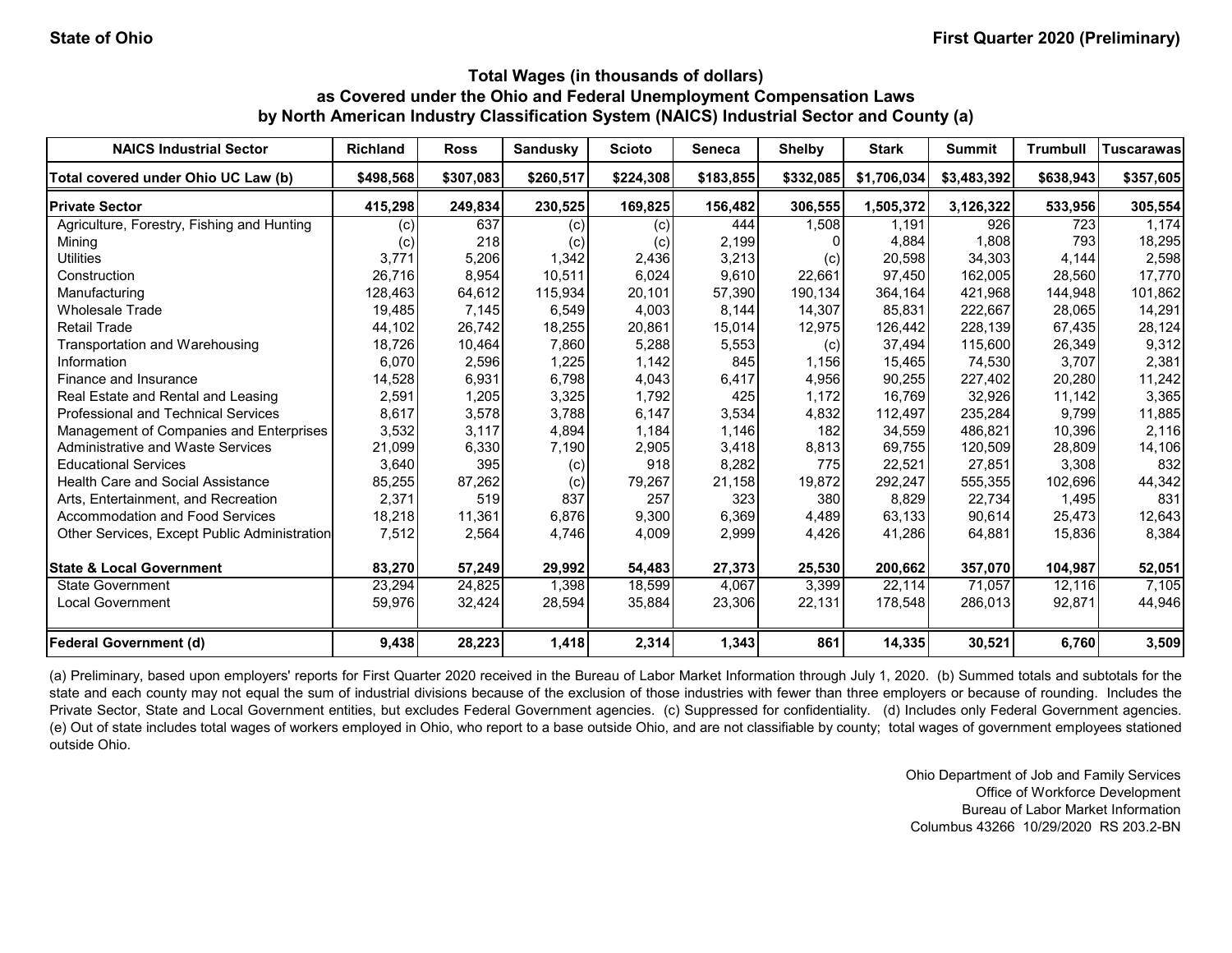| <b>NAICS Industrial Sector</b>               | <b>Richland</b>   | <b>Ross</b> | <b>Sandusky</b> | <b>Scioto</b> | Seneca    | <b>Shelby</b> | <b>Stark</b> | <b>Summit</b> | <b>Trumbull</b> | <b>Tuscarawas</b> |
|----------------------------------------------|-------------------|-------------|-----------------|---------------|-----------|---------------|--------------|---------------|-----------------|-------------------|
| Total covered under Ohio UC Law (b)          | \$498.568         | \$307.083   | \$260,517       | \$224,308     | \$183,855 | \$332,085     | \$1,706,034  | \$3,483,392   | \$638,943       | \$357,605         |
| <b>Private Sector</b>                        | 415,298           | 249,834     | 230,525         | 169,825       | 156,482   | 306,555       | 1,505,372    | 3,126,322     | 533,956         | 305,554           |
| Agriculture, Forestry, Fishing and Hunting   | (c)               | 637         | (c)             | (c)           | 444       | 1.508         | 1.191        | 926           | 723             | 1,174             |
| Mining                                       | $\left( c\right)$ | 218         | (c)             | (c)           | 2,199     |               | 4,884        | 1,808         | 793             | 18,295            |
| <b>Utilities</b>                             | 3,771             | 5,206       | 1,342           | 2,436         | 3,213     | (c)           | 20,598       | 34.303        | 4,144           | 2,598             |
| Construction                                 | 26,716            | 8,954       | 10,511          | 6,024         | 9,610     | 22,661        | 97,450       | 162,005       | 28,560          | 17,770            |
| Manufacturing                                | 128,463           | 64,612      | 115,934         | 20,101        | 57,390    | 190,134       | 364,164      | 421,968       | 144,948         | 101,862           |
| <b>Wholesale Trade</b>                       | 19,485            | 7,145       | 6,549           | 4,003         | 8,144     | 14,307        | 85,831       | 222,667       | 28,065          | 14,291            |
| <b>Retail Trade</b>                          | 44,102            | 26,742      | 18,255          | 20,861        | 15,014    | 12,975        | 126,442      | 228,139       | 67,435          | 28,124            |
| Transportation and Warehousing               | 18,726            | 10,464      | 7,860           | 5,288         | 5,553     | (c)           | 37,494       | 115,600       | 26,349          | 9,312             |
| Information                                  | 6,070             | 2,596       | 1,225           | 1,142         | 845       | 1,156         | 15,465       | 74,530        | 3,707           | 2,381             |
| Finance and Insurance                        | 14,528            | 6,931       | 6,798           | 4,043         | 6,417     | 4,956         | 90,255       | 227,402       | 20,280          | 11,242            |
| Real Estate and Rental and Leasing           | 2,591             | 1,205       | 3,325           | 1,792         | 425       | 1,172         | 16,769       | 32,926        | 11,142          | 3,365             |
| <b>Professional and Technical Services</b>   | 8,617             | 3,578       | 3,788           | 6,147         | 3,534     | 4,832         | 112,497      | 235,284       | 9.799           | 11,885            |
| Management of Companies and Enterprises      | 3,532             | 3,117       | 4,894           | 1,184         | 1,146     | 182           | 34,559       | 486.821       | 10,396          | 2,116             |
| Administrative and Waste Services            | 21,099            | 6,330       | 7,190           | 2,905         | 3,418     | 8,813         | 69,755       | 120,509       | 28,809          | 14,106            |
| <b>Educational Services</b>                  | 3,640             | 395         | (c)             | 918           | 8,282     | 775           | 22,521       | 27,851        | 3,308           | 832               |
| Health Care and Social Assistance            | 85,255            | 87,262      | (c)             | 79,267        | 21,158    | 19,872        | 292,247      | 555,355       | 102,696         | 44,342            |
| Arts, Entertainment, and Recreation          | 2,371             | 519         | 837             | 257           | 323       | 380           | 8,829        | 22,734        | 1,495           | 831               |
| <b>Accommodation and Food Services</b>       | 18,218            | 11,361      | 6,876           | 9,300         | 6,369     | 4,489         | 63,133       | 90,614        | 25,473          | 12,643            |
| Other Services, Except Public Administration | 7,512             | 2,564       | 4,746           | 4,009         | 2,999     | 4,426         | 41,286       | 64,881        | 15,836          | 8,384             |
| <b>State &amp; Local Government</b>          | 83,270            | 57,249      | 29,992          | 54,483        | 27,373    | 25,530        | 200,662      | 357,070       | 104,987         | 52,051            |
| <b>State Government</b>                      | 23,294            | 24,825      | 1,398           | 18.599        | 4,067     | 3,399         | 22,114       | 71,057        | 12,116          | 7,105             |
| Local Government                             | 59,976            | 32,424      | 28,594          | 35,884        | 23,306    | 22,131        | 178,548      | 286,013       | 92,871          | 44,946            |
| <b>Federal Government (d)</b>                | 9,438             | 28,223      | 1,418           | 2,314         | 1,343     | 861           | 14,335       | 30,521        | 6,760           | 3,509             |

(a) Preliminary, based upon employers' reports for First Quarter 2020 received in the Bureau of Labor Market Information through July 1, 2020. (b) Summed totals and subtotals for the state and each county may not equal the sum of industrial divisions because of the exclusion of those industries with fewer than three employers or because of rounding. Includes the Private Sector, State and Local Government entities, but excludes Federal Government agencies. (c) Suppressed for confidentiality. (d) Includes only Federal Government agencies. (e) Out of state includes total wages of workers employed in Ohio, who report to a base outside Ohio, and are not classifiable by county; total wages of government employees stationed outside Ohio.